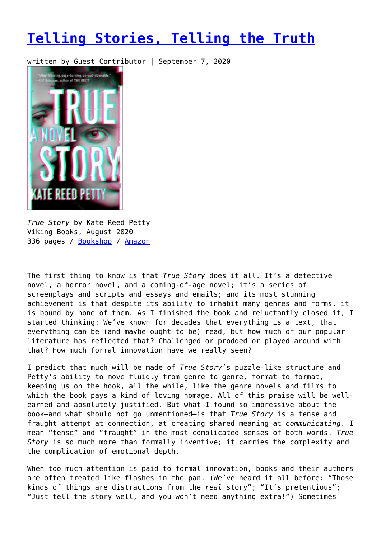## **[Telling Stories, Telling the Truth](https://entropymag.org/telling-stories-telling-truth/)**

written by Guest Contributor | September 7, 2020



*True Story* by Kate Reed Petty Viking Books, August 2020 336 pages / [Bookshop](https://bookshop.org/books/true-story-9781984877680/9781984877680?aid=3601) / [Amazon](https://amzn.to/2F3Cv7Q)

The first thing to know is that *True Story* does it all. It's a detective novel, a horror novel, and a coming-of-age novel; it's a series of screenplays and scripts and essays and emails; and its most stunning achievement is that despite its ability to inhabit many genres and forms, it is bound by none of them. As I finished the book and reluctantly closed it, I started thinking: We've known for decades that everything is a text, that everything can be (and maybe ought to be) read, but how much of our popular literature has reflected that? Challenged or prodded or played around with that? How much formal innovation have we really seen?

I predict that much will be made of *True Story*'s puzzle-like structure and Petty's ability to move fluidly from genre to genre, format to format, keeping us on the hook, all the while, like the genre novels and films to which the book pays a kind of loving homage. All of this praise will be wellearned and absolutely justified. But what I found so impressive about the book—and what should not go unmentioned—is that *True Story* is a tense and fraught attempt at connection, at creating shared meaning—at *communicating*. I mean "tense" and "fraught" in the most complicated senses of both words. *True Story* is so much more than formally inventive; it carries the complexity and the complication of emotional depth.

When too much attention is paid to formal innovation, books and their authors are often treated like flashes in the pan. (We've heard it all before: "Those kinds of things are distractions from the *real* story"; "It's pretentious"; "Just tell the story well, and you won't need anything extra!") Sometimes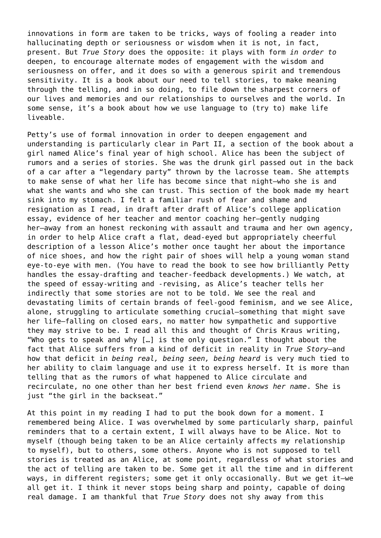innovations in form are taken to be tricks, ways of fooling a reader into hallucinating depth or seriousness or wisdom when it is not, in fact, present. But *True Story* does the opposite: it plays with form *in order to* deepen, to encourage alternate modes of engagement with the wisdom and seriousness on offer, and it does so with a generous spirit and tremendous sensitivity. It is a book about our need to tell stories, to make meaning through the telling, and in so doing, to file down the sharpest corners of our lives and memories and our relationships to ourselves and the world. In some sense, it's a book about how we use language to (try to) make life liveable.

Petty's use of formal innovation in order to deepen engagement and understanding is particularly clear in Part II, a section of the book about a girl named Alice's final year of high school. Alice has been the subject of rumors and a series of stories. She was the drunk girl passed out in the back of a car after a "legendary party" thrown by the lacrosse team. She attempts to make sense of what her life has become since that night—who she is and what she wants and who she can trust. This section of the book made my heart sink into my stomach. I felt a familiar rush of fear and shame and resignation as I read, in draft after draft of Alice's college application essay, evidence of her teacher and mentor coaching her—gently nudging her—away from an honest reckoning with assault and trauma and her own agency, in order to help Alice craft a flat, dead-eyed but appropriately cheerful description of a lesson Alice's mother once taught her about the importance of nice shoes, and how the right pair of shoes will help a young woman stand eye-to-eye with men. (You have to read the book to see how brilliantly Petty handles the essay-drafting and teacher-feedback developments.) We watch, at the speed of essay-writing and -revising, as Alice's teacher tells her indirectly that some stories are not to be told. We see the real and devastating limits of certain brands of feel-good feminism, and we see Alice, alone, struggling to articulate something crucial—something that might save her life—falling on closed ears, no matter how sympathetic and supportive they may strive to be. I read all this and thought of Chris Kraus writing, "Who gets to speak and why […] is the only question." I thought about the fact that Alice suffers from a kind of deficit in reality in *True Story*—and how that deficit in *being real, being seen, being heard* is very much tied to her ability to claim language and use it to express herself. It is more than telling that as the rumors of what happened to Alice circulate and recirculate, no one other than her best friend even *knows her name*. She is just "the girl in the backseat."

At this point in my reading I had to put the book down for a moment. I remembered being Alice. I was overwhelmed by some particularly sharp, painful reminders that to a certain extent, I will always have to be Alice. Not to myself (though being taken to be an Alice certainly affects my relationship to myself), but to others, some others. Anyone who is not supposed to tell stories is treated as an Alice, at some point, regardless of what stories and the act of telling are taken to be. Some get it all the time and in different ways, in different registers; some get it only occasionally. But we get it—we all get it. I think it never stops being sharp and pointy, capable of doing real damage. I am thankful that *True Story* does not shy away from this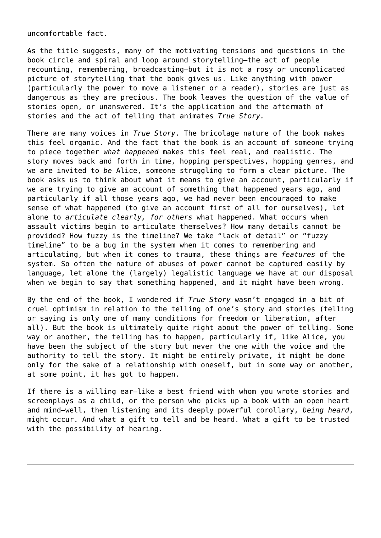uncomfortable fact.

As the title suggests, many of the motivating tensions and questions in the book circle and spiral and loop around storytelling—the act of people recounting, remembering, broadcasting—but it is not a rosy or uncomplicated picture of storytelling that the book gives us. Like anything with power (particularly the power to move a listener or a reader), stories are just as dangerous as they are precious. The book leaves the question of the value of stories open, or unanswered. It's the application and the aftermath of stories and the act of telling that animates *True Story.*

There are many voices in *True Story*. The bricolage nature of the book makes this feel organic. And the fact that the book is an account of someone trying to piece together *what happened* makes this feel real, and realistic. The story moves back and forth in time, hopping perspectives, hopping genres, and we are invited to *be* Alice, someone struggling to form a clear picture. The book asks us to think about what it means to give an account, particularly if we are trying to give an account of something that happened years ago, and particularly if all those years ago, we had never been encouraged to make sense of what happened (to give an account first of all for ourselves), let alone to *articulate clearly, for others* what happened. What occurs when assault victims begin to articulate themselves? How many details cannot be provided? How fuzzy is the timeline? We take "lack of detail" or "fuzzy timeline" to be a bug in the system when it comes to remembering and articulating, but when it comes to trauma, these things are *features* of the system. So often the nature of abuses of power cannot be captured easily by language, let alone the (largely) legalistic language we have at our disposal when we begin to say that something happened, and it might have been wrong.

By the end of the book, I wondered if *True Story* wasn't engaged in a bit of cruel optimism in relation to the telling of one's story and stories (telling or saying is only one of many conditions for freedom or liberation, after all). But the book is ultimately quite right about the power of telling. Some way or another, the telling has to happen, particularly if, like Alice, you have been the subject of the story but never the one with the voice and the authority to tell the story. It might be entirely private, it might be done only for the sake of a relationship with oneself, but in some way or another, at some point, it has got to happen.

If there is a willing ear—like a best friend with whom you wrote stories and screenplays as a child, or the person who picks up a book with an open heart and mind—well, then listening and its deeply powerful corollary, *being heard*, might occur. And what a gift to tell and be heard. What a gift to be trusted with the possibility of hearing.